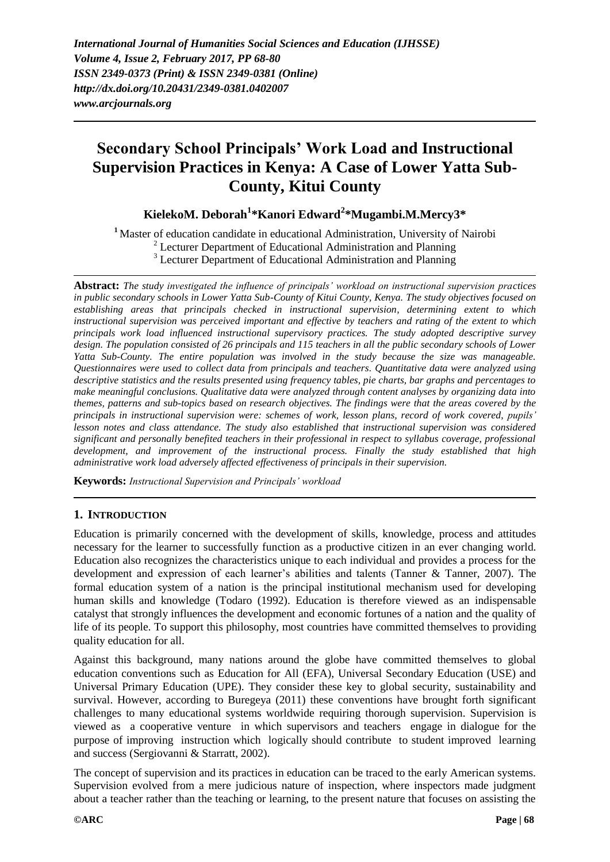# **Secondary School Principals' Work Load and Instructional Supervision Practices in Kenya: A Case of Lower Yatta Sub-County, Kitui County**

# **KielekoM. Deborah<sup>1</sup> \*Kanori Edward<sup>2</sup> \*Mugambi.M.Mercy3\***

**<sup>1</sup>**Master of education candidate in educational Administration, University of Nairobi <sup>2</sup> Lecturer Department of Educational Administration and Planning <sup>3</sup> Lecturer Department of Educational Administration and Planning

**Abstract:** *The study investigated the influence of principals' workload on instructional supervision practices in public secondary schools in Lower Yatta Sub-County of Kitui County, Kenya. The study objectives focused on establishing areas that principals checked in instructional supervision, determining extent to which instructional supervision was perceived important and effective by teachers and rating of the extent to which principals work load influenced instructional supervisory practices. The study adopted descriptive survey design. The population consisted of 26 principals and 115 teachers in all the public secondary schools of Lower Yatta Sub-County. The entire population was involved in the study because the size was manageable. Questionnaires were used to collect data from principals and teachers. Quantitative data were analyzed using descriptive statistics and the results presented using frequency tables, pie charts, bar graphs and percentages to make meaningful conclusions. Qualitative data were analyzed through content analyses by organizing data into themes, patterns and sub-topics based on research objectives. The findings were that the areas covered by the principals in instructional supervision were: schemes of work, lesson plans, record of work covered, pupils' lesson notes and class attendance. The study also established that instructional supervision was considered significant and personally benefited teachers in their professional in respect to syllabus coverage, professional development, and improvement of the instructional process. Finally the study established that high administrative work load adversely affected effectiveness of principals in their supervision.*

**Keywords:** *Instructional Supervision and Principals' workload*

# **1. INTRODUCTION**

Education is primarily concerned with the development of skills, knowledge, process and attitudes necessary for the learner to successfully function as a productive citizen in an ever changing world. Education also recognizes the characteristics unique to each individual and provides a process for the development and expression of each learner"s abilities and talents (Tanner & Tanner, 2007). The formal education system of a nation is the principal institutional mechanism used for developing human skills and knowledge (Todaro (1992). Education is therefore viewed as an indispensable catalyst that strongly influences the development and economic fortunes of a nation and the quality of life of its people. To support this philosophy, most countries have committed themselves to providing quality education for all.

Against this background, many nations around the globe have committed themselves to global education conventions such as Education for All (EFA), Universal Secondary Education (USE) and Universal Primary Education (UPE). They consider these key to global security, sustainability and survival. However, according to Buregeya (2011) these conventions have brought forth significant challenges to many educational systems worldwide requiring thorough supervision. Supervision is viewed as a cooperative venture in which supervisors and teachers engage in dialogue for the purpose of improving instruction which logically should contribute to student improved learning and success (Sergiovanni & Starratt, 2002).

The concept of supervision and its practices in education can be traced to the early American systems. Supervision evolved from a mere judicious nature of inspection, where inspectors made judgment about a teacher rather than the teaching or learning, to the present nature that focuses on assisting the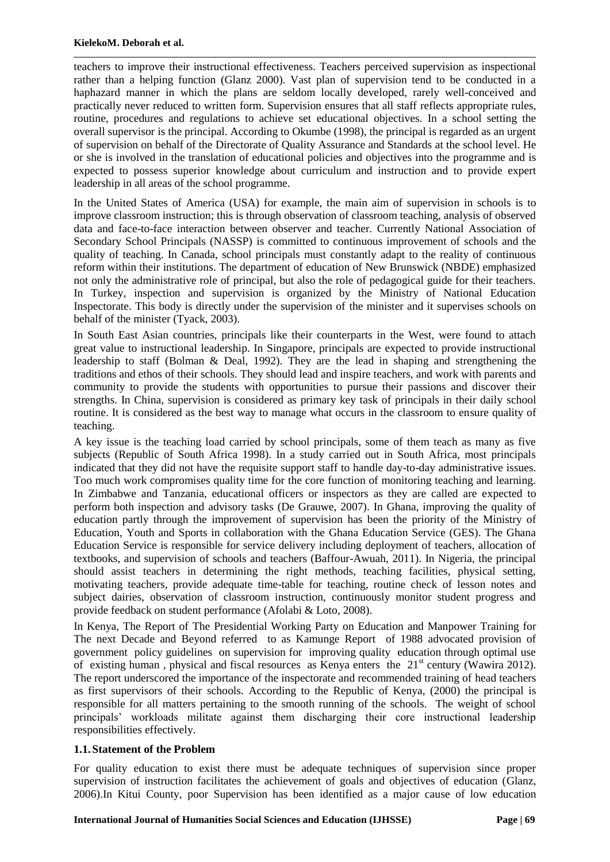#### **KielekoM. Deborah et al.**

teachers to improve their instructional effectiveness. Teachers perceived supervision as inspectional rather than a helping function (Glanz 2000). Vast plan of supervision tend to be conducted in a haphazard manner in which the plans are seldom locally developed, rarely well-conceived and practically never reduced to written form. Supervision ensures that all staff reflects appropriate rules, routine, procedures and regulations to achieve set educational objectives. In a school setting the overall supervisor is the principal. According to Okumbe (1998), the principal is regarded as an urgent of supervision on behalf of the Directorate of Quality Assurance and Standards at the school level. He or she is involved in the translation of educational policies and objectives into the programme and is expected to possess superior knowledge about curriculum and instruction and to provide expert leadership in all areas of the school programme.

In the United States of America (USA) for example, the main aim of supervision in schools is to improve classroom instruction; this is through observation of classroom teaching, analysis of observed data and face-to-face interaction between observer and teacher. Currently National Association of Secondary School Principals (NASSP) is committed to continuous improvement of schools and the quality of teaching. In Canada, school principals must constantly adapt to the reality of continuous reform within their institutions. The department of education of New Brunswick (NBDE) emphasized not only the administrative role of principal, but also the role of pedagogical guide for their teachers. In Turkey, inspection and supervision is organized by the Ministry of National Education Inspectorate. This body is directly under the supervision of the minister and it supervises schools on behalf of the minister (Tyack, 2003).

In South East Asian countries, principals like their counterparts in the West, were found to attach great value to instructional leadership. In Singapore, principals are expected to provide instructional leadership to staff (Bolman & Deal, 1992). They are the lead in shaping and strengthening the traditions and ethos of their schools. They should lead and inspire teachers, and work with parents and community to provide the students with opportunities to pursue their passions and discover their strengths. In China, supervision is considered as primary key task of principals in their daily school routine. It is considered as the best way to manage what occurs in the classroom to ensure quality of teaching.

A key issue is the teaching load carried by school principals, some of them teach as many as five subjects (Republic of South Africa 1998). In a study carried out in South Africa, most principals indicated that they did not have the requisite support staff to handle day-to-day administrative issues. Too much work compromises quality time for the core function of monitoring teaching and learning. In Zimbabwe and Tanzania, educational officers or inspectors as they are called are expected to perform both inspection and advisory tasks (De Grauwe, 2007). In Ghana, improving the quality of education partly through the improvement of supervision has been the priority of the Ministry of Education, Youth and Sports in collaboration with the Ghana Education Service (GES). The Ghana Education Service is responsible for service delivery including deployment of teachers, allocation of textbooks, and supervision of schools and teachers (Baffour-Awuah, 2011). In Nigeria, the principal should assist teachers in determining the right methods, teaching facilities, physical setting, motivating teachers, provide adequate time-table for teaching, routine check of lesson notes and subject dairies, observation of classroom instruction, continuously monitor student progress and provide feedback on student performance (Afolabi & Loto, 2008).

In Kenya, The Report of The Presidential Working Party on Education and Manpower Training for The next Decade and Beyond referred to as Kamunge Report of 1988 advocated provision of government policy guidelines on supervision for improving quality education through optimal use of existing human, physical and fiscal resources as Kenya enters the  $21<sup>st</sup>$  century (Wawira 2012). The report underscored the importance of the inspectorate and recommended training of head teachers as first supervisors of their schools. According to the Republic of Kenya, (2000) the principal is responsible for all matters pertaining to the smooth running of the schools. The weight of school principals" workloads militate against them discharging their core instructional leadership responsibilities effectively.

#### **1.1.Statement of the Problem**

For quality education to exist there must be adequate techniques of supervision since proper supervision of instruction facilitates the achievement of goals and objectives of education (Glanz, 2006).In Kitui County, poor Supervision has been identified as a major cause of low education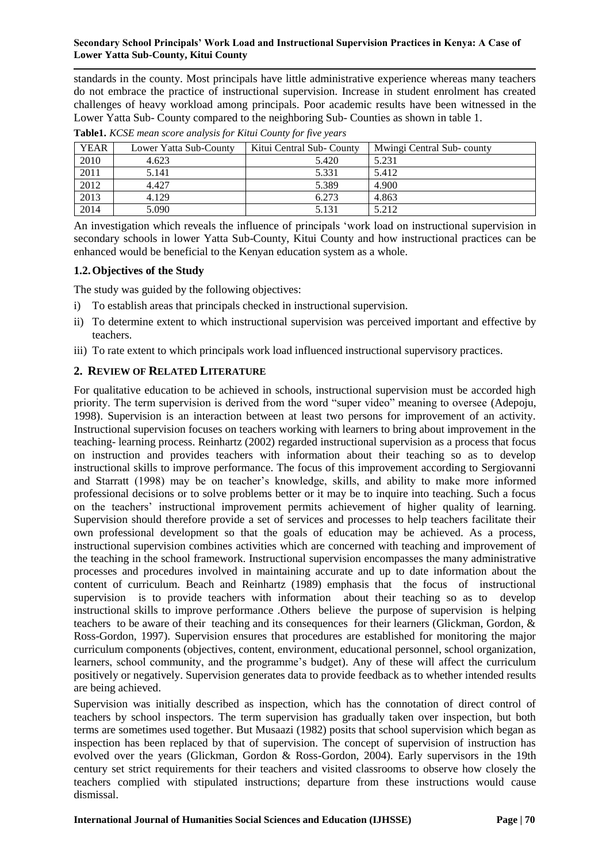standards in the county. Most principals have little administrative experience whereas many teachers do not embrace the practice of instructional supervision. Increase in student enrolment has created challenges of heavy workload among principals. Poor academic results have been witnessed in the Lower Yatta Sub- County compared to the neighboring Sub- Counties as shown in table 1.

| <b>YEAR</b> | Lower Yatta Sub-County | Kitui Central Sub-County | Mwingi Central Sub-county |
|-------------|------------------------|--------------------------|---------------------------|
| 2010        | 4.623                  | 5.420                    | 5.231                     |
| 2011        | 5.141                  | 5.331                    | 5.412                     |
| 2012        | 4.427                  | 5.389                    | 4.900                     |
| 2013        | 4.129                  | 6.273                    | 4.863                     |
| 2014        | 5.090                  | 5.131                    | 5.212                     |

**Table1.** *KCSE mean score analysis for Kitui County for five years*

An investigation which reveals the influence of principals "work load on instructional supervision in secondary schools in lower Yatta Sub-County, Kitui County and how instructional practices can be enhanced would be beneficial to the Kenyan education system as a whole.

# **1.2.Objectives of the Study**

The study was guided by the following objectives:

- i) To establish areas that principals checked in instructional supervision.
- ii) To determine extent to which instructional supervision was perceived important and effective by teachers.
- iii) To rate extent to which principals work load influenced instructional supervisory practices.

# **2. REVIEW OF RELATED LITERATURE**

For qualitative education to be achieved in schools, instructional supervision must be accorded high priority. The term supervision is derived from the word "super video" meaning to oversee (Adepoju, 1998). Supervision is an interaction between at least two persons for improvement of an activity. Instructional supervision focuses on teachers working with learners to bring about improvement in the teaching- learning process. Reinhartz (2002) regarded instructional supervision as a process that focus on instruction and provides teachers with information about their teaching so as to develop instructional skills to improve performance. The focus of this improvement according to Sergiovanni and Starratt (1998) may be on teacher"s knowledge, skills, and ability to make more informed professional decisions or to solve problems better or it may be to inquire into teaching. Such a focus on the teachers' instructional improvement permits achievement of higher quality of learning. Supervision should therefore provide a set of services and processes to help teachers facilitate their own professional development so that the goals of education may be achieved. As a process, instructional supervision combines activities which are concerned with teaching and improvement of the teaching in the school framework. Instructional supervision encompasses the many administrative processes and procedures involved in maintaining accurate and up to date information about the content of curriculum. Beach and Reinhartz (1989) emphasis that the focus of instructional supervision is to provide teachers with information about their teaching so as to develop instructional skills to improve performance .Others believe the purpose of supervision is helping teachers to be aware of their teaching and its consequences for their learners (Glickman, Gordon, & Ross-Gordon, 1997). Supervision ensures that procedures are established for monitoring the major curriculum components (objectives, content, environment, educational personnel, school organization, learners, school community, and the programme"s budget). Any of these will affect the curriculum positively or negatively. Supervision generates data to provide feedback as to whether intended results are being achieved.

Supervision was initially described as inspection, which has the connotation of direct control of teachers by school inspectors. The term supervision has gradually taken over inspection, but both terms are sometimes used together. But Musaazi (1982) posits that school supervision which began as inspection has been replaced by that of supervision. The concept of supervision of instruction has evolved over the years (Glickman, Gordon & Ross-Gordon, 2004). Early supervisors in the 19th century set strict requirements for their teachers and visited classrooms to observe how closely the teachers complied with stipulated instructions; departure from these instructions would cause dismissal.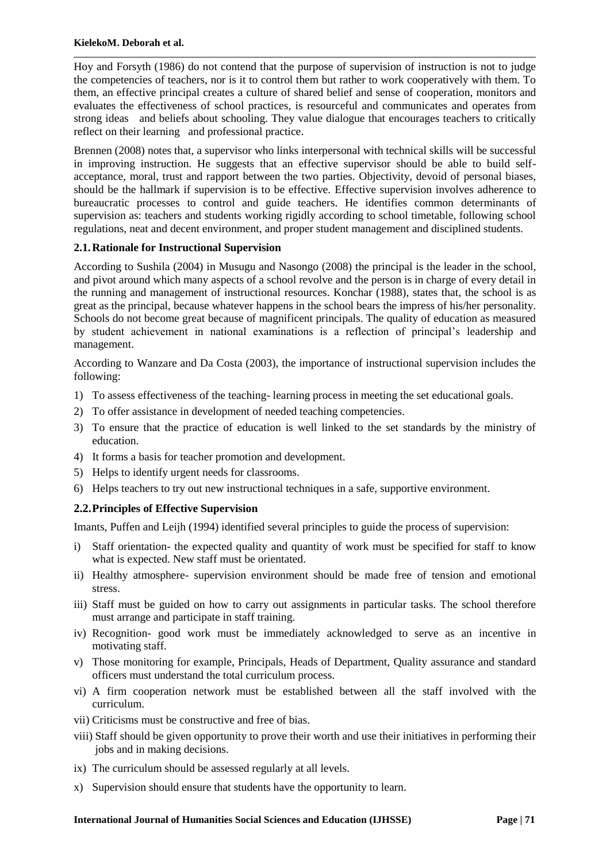#### **KielekoM. Deborah et al.**

Hoy and Forsyth (1986) do not contend that the purpose of supervision of instruction is not to judge the competencies of teachers, nor is it to control them but rather to work cooperatively with them. To them, an effective principal creates a culture of shared belief and sense of cooperation, monitors and evaluates the effectiveness of school practices, is resourceful and communicates and operates from strong ideas and beliefs about schooling. They value dialogue that encourages teachers to critically reflect on their learning and professional practice.

Brennen (2008) notes that, a supervisor who links interpersonal with technical skills will be successful in improving instruction. He suggests that an effective supervisor should be able to build selfacceptance, moral, trust and rapport between the two parties. Objectivity, devoid of personal biases, should be the hallmark if supervision is to be effective. Effective supervision involves adherence to bureaucratic processes to control and guide teachers. He identifies common determinants of supervision as: teachers and students working rigidly according to school timetable, following school regulations, neat and decent environment, and proper student management and disciplined students.

# **2.1.Rationale for Instructional Supervision**

According to Sushila (2004) in Musugu and Nasongo (2008) the principal is the leader in the school, and pivot around which many aspects of a school revolve and the person is in charge of every detail in the running and management of instructional resources. Konchar (1988), states that, the school is as great as the principal, because whatever happens in the school bears the impress of his/her personality. Schools do not become great because of magnificent principals. The quality of education as measured by student achievement in national examinations is a reflection of principal"s leadership and management.

According to Wanzare and Da Costa (2003), the importance of instructional supervision includes the following:

- 1) To assess effectiveness of the teaching- learning process in meeting the set educational goals.
- 2) To offer assistance in development of needed teaching competencies.
- 3) To ensure that the practice of education is well linked to the set standards by the ministry of education.
- 4) It forms a basis for teacher promotion and development.
- 5) Helps to identify urgent needs for classrooms.
- 6) Helps teachers to try out new instructional techniques in a safe, supportive environment.

# **2.2.Principles of Effective Supervision**

Imants, Puffen and Leijh (1994) identified several principles to guide the process of supervision:

- i) Staff orientation- the expected quality and quantity of work must be specified for staff to know what is expected. New staff must be orientated.
- ii) Healthy atmosphere- supervision environment should be made free of tension and emotional stress.
- iii) Staff must be guided on how to carry out assignments in particular tasks. The school therefore must arrange and participate in staff training.
- iv) Recognition- good work must be immediately acknowledged to serve as an incentive in motivating staff.
- v) Those monitoring for example, Principals, Heads of Department, Quality assurance and standard officers must understand the total curriculum process.
- vi) A firm cooperation network must be established between all the staff involved with the curriculum.
- vii) Criticisms must be constructive and free of bias.
- viii) Staff should be given opportunity to prove their worth and use their initiatives in performing their jobs and in making decisions.
- ix) The curriculum should be assessed regularly at all levels.
- x) Supervision should ensure that students have the opportunity to learn.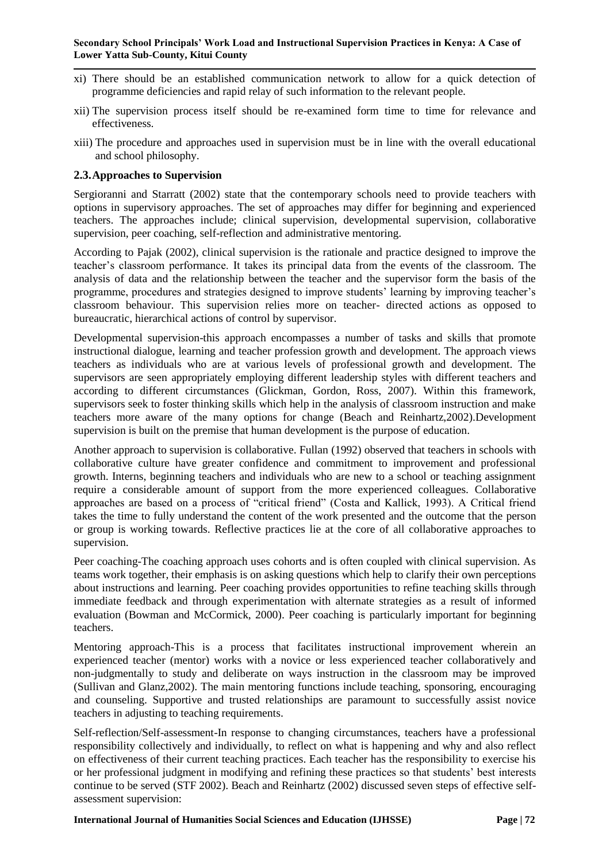- xi) There should be an established communication network to allow for a quick detection of programme deficiencies and rapid relay of such information to the relevant people.
- xii) The supervision process itself should be re-examined form time to time for relevance and effectiveness.
- xiii) The procedure and approaches used in supervision must be in line with the overall educational and school philosophy.

# **2.3.Approaches to Supervision**

Sergioranni and Starratt (2002) state that the contemporary schools need to provide teachers with options in supervisory approaches. The set of approaches may differ for beginning and experienced teachers. The approaches include; clinical supervision, developmental supervision, collaborative supervision, peer coaching, self-reflection and administrative mentoring.

According to Pajak (2002), clinical supervision is the rationale and practice designed to improve the teacher"s classroom performance. It takes its principal data from the events of the classroom. The analysis of data and the relationship between the teacher and the supervisor form the basis of the programme, procedures and strategies designed to improve students" learning by improving teacher"s classroom behaviour. This supervision relies more on teacher- directed actions as opposed to bureaucratic, hierarchical actions of control by supervisor.

Developmental supervision-this approach encompasses a number of tasks and skills that promote instructional dialogue, learning and teacher profession growth and development. The approach views teachers as individuals who are at various levels of professional growth and development. The supervisors are seen appropriately employing different leadership styles with different teachers and according to different circumstances (Glickman, Gordon, Ross, 2007). Within this framework, supervisors seek to foster thinking skills which help in the analysis of classroom instruction and make teachers more aware of the many options for change (Beach and Reinhartz,2002).Development supervision is built on the premise that human development is the purpose of education.

Another approach to supervision is collaborative. Fullan (1992) observed that teachers in schools with collaborative culture have greater confidence and commitment to improvement and professional growth. Interns, beginning teachers and individuals who are new to a school or teaching assignment require a considerable amount of support from the more experienced colleagues. Collaborative approaches are based on a process of "critical friend" (Costa and Kallick, 1993). A Critical friend takes the time to fully understand the content of the work presented and the outcome that the person or group is working towards. Reflective practices lie at the core of all collaborative approaches to supervision.

Peer coaching-The coaching approach uses cohorts and is often coupled with clinical supervision. As teams work together, their emphasis is on asking questions which help to clarify their own perceptions about instructions and learning. Peer coaching provides opportunities to refine teaching skills through immediate feedback and through experimentation with alternate strategies as a result of informed evaluation (Bowman and McCormick, 2000). Peer coaching is particularly important for beginning teachers.

Mentoring approach-This is a process that facilitates instructional improvement wherein an experienced teacher (mentor) works with a novice or less experienced teacher collaboratively and non-judgmentally to study and deliberate on ways instruction in the classroom may be improved (Sullivan and Glanz,2002). The main mentoring functions include teaching, sponsoring, encouraging and counseling. Supportive and trusted relationships are paramount to successfully assist novice teachers in adjusting to teaching requirements.

Self-reflection/Self-assessment-In response to changing circumstances, teachers have a professional responsibility collectively and individually, to reflect on what is happening and why and also reflect on effectiveness of their current teaching practices. Each teacher has the responsibility to exercise his or her professional judgment in modifying and refining these practices so that students" best interests continue to be served (STF 2002). Beach and Reinhartz (2002) discussed seven steps of effective selfassessment supervision: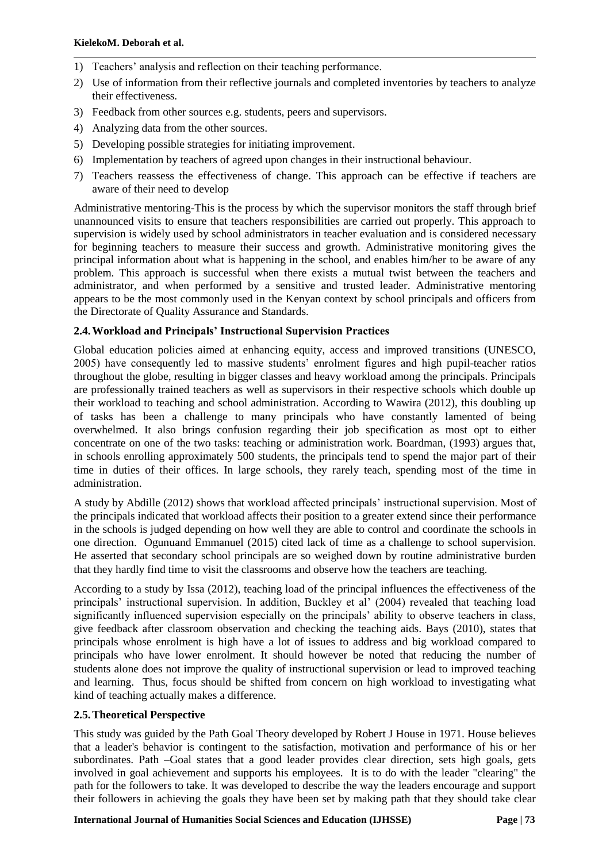- 1) Teachers' analysis and reflection on their teaching performance.
- 2) Use of information from their reflective journals and completed inventories by teachers to analyze their effectiveness.
- 3) Feedback from other sources e.g. students, peers and supervisors.
- 4) Analyzing data from the other sources.
- 5) Developing possible strategies for initiating improvement.
- 6) Implementation by teachers of agreed upon changes in their instructional behaviour.
- 7) Teachers reassess the effectiveness of change. This approach can be effective if teachers are aware of their need to develop

Administrative mentoring-This is the process by which the supervisor monitors the staff through brief unannounced visits to ensure that teachers responsibilities are carried out properly. This approach to supervision is widely used by school administrators in teacher evaluation and is considered necessary for beginning teachers to measure their success and growth. Administrative monitoring gives the principal information about what is happening in the school, and enables him/her to be aware of any problem. This approach is successful when there exists a mutual twist between the teachers and administrator, and when performed by a sensitive and trusted leader. Administrative mentoring appears to be the most commonly used in the Kenyan context by school principals and officers from the Directorate of Quality Assurance and Standards.

# **2.4.Workload and Principals' Instructional Supervision Practices**

Global education policies aimed at enhancing equity, access and improved transitions (UNESCO, 2005) have consequently led to massive students" enrolment figures and high pupil-teacher ratios throughout the globe, resulting in bigger classes and heavy workload among the principals. Principals are professionally trained teachers as well as supervisors in their respective schools which double up their workload to teaching and school administration. According to Wawira (2012), this doubling up of tasks has been a challenge to many principals who have constantly lamented of being overwhelmed. It also brings confusion regarding their job specification as most opt to either concentrate on one of the two tasks: teaching or administration work. Boardman, (1993) argues that, in schools enrolling approximately 500 students, the principals tend to spend the major part of their time in duties of their offices. In large schools, they rarely teach, spending most of the time in administration.

A study by Abdille (2012) shows that workload affected principals" instructional supervision. Most of the principals indicated that workload affects their position to a greater extend since their performance in the schools is judged depending on how well they are able to control and coordinate the schools in one direction. Ogunuand Emmanuel (2015) cited lack of time as a challenge to school supervision. He asserted that secondary school principals are so weighed down by routine administrative burden that they hardly find time to visit the classrooms and observe how the teachers are teaching.

According to a study by Issa (2012), teaching load of the principal influences the effectiveness of the principals' instructional supervision. In addition, Buckley et al' (2004) revealed that teaching load significantly influenced supervision especially on the principals" ability to observe teachers in class, give feedback after classroom observation and checking the teaching aids. Bays (2010), states that principals whose enrolment is high have a lot of issues to address and big workload compared to principals who have lower enrolment. It should however be noted that reducing the number of students alone does not improve the quality of instructional supervision or lead to improved teaching and learning. Thus, focus should be shifted from concern on high workload to investigating what kind of teaching actually makes a difference.

# **2.5.Theoretical Perspective**

This study was guided by the Path Goal Theory developed by Robert J House in 1971. House believes that a leader's behavior is contingent to the satisfaction, motivation and performance of his or her subordinates. Path –Goal states that a good leader provides clear direction, sets high goals, gets involved in goal achievement and supports his employees. It is to do with the leader "clearing" the path for the followers to take. It was developed to describe the way the leaders encourage and support their followers in achieving the goals they have been set by making path that they should take clear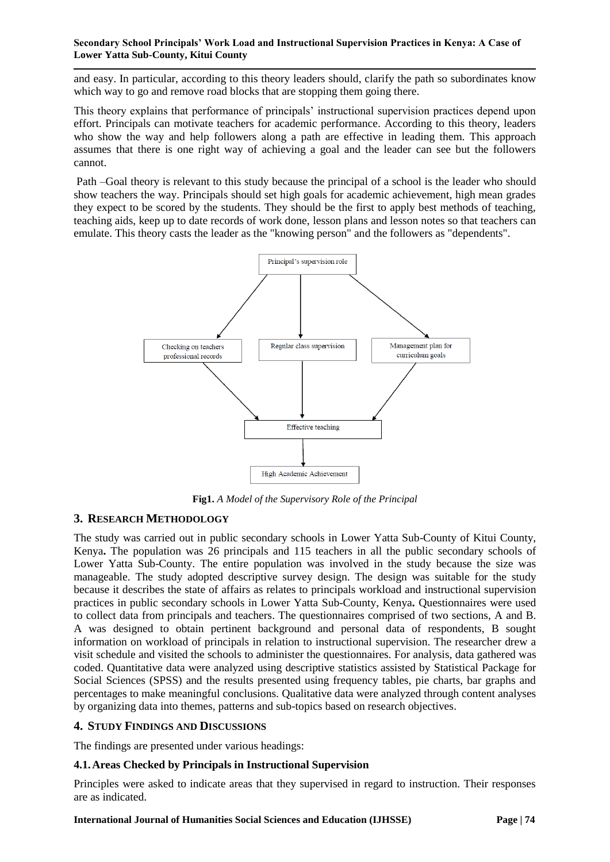#### **Secondary School Principals' Work Load and Instructional Supervision Practices in Kenya: A Case of Lower Yatta Sub-County, Kitui County**

and easy. In particular, according to this theory leaders should, clarify the path so subordinates know which way to go and remove road blocks that are stopping them going there.

This theory explains that performance of principals" instructional supervision practices depend upon effort. Principals can motivate teachers for academic performance. According to this theory, leaders who show the way and help followers along a path are effective in leading them. This approach assumes that there is one right way of achieving a goal and the leader can see but the followers cannot.

Path –Goal theory is relevant to this study because the principal of a school is the leader who should show teachers the way. Principals should set high goals for academic achievement, high mean grades they expect to be scored by the students. They should be the first to apply best methods of teaching, teaching aids, keep up to date records of work done, lesson plans and lesson notes so that teachers can emulate. This theory casts the leader as the "knowing person" and the followers as "dependents".



**Fig1.** *A Model of the Supervisory Role of the Principal*

# **3. RESEARCH METHODOLOGY**

The study was carried out in public secondary schools in Lower Yatta Sub-County of Kitui County, Kenya**.** The population was 26 principals and 115 teachers in all the public secondary schools of Lower Yatta Sub-County. The entire population was involved in the study because the size was manageable. The study adopted descriptive survey design. The design was suitable for the study because it describes the state of affairs as relates to principals workload and instructional supervision practices in public secondary schools in Lower Yatta Sub-County, Kenya**.** Questionnaires were used to collect data from principals and teachers. The questionnaires comprised of two sections, A and B. A was designed to obtain pertinent background and personal data of respondents, B sought information on workload of principals in relation to instructional supervision. The researcher drew a visit schedule and visited the schools to administer the questionnaires. For analysis, data gathered was coded. Quantitative data were analyzed using descriptive statistics assisted by Statistical Package for Social Sciences (SPSS) and the results presented using frequency tables, pie charts, bar graphs and percentages to make meaningful conclusions. Qualitative data were analyzed through content analyses by organizing data into themes, patterns and sub-topics based on research objectives.

# **4. STUDY FINDINGS AND DISCUSSIONS**

The findings are presented under various headings:

# **4.1.Areas Checked by Principals in Instructional Supervision**

Principles were asked to indicate areas that they supervised in regard to instruction. Their responses are as indicated.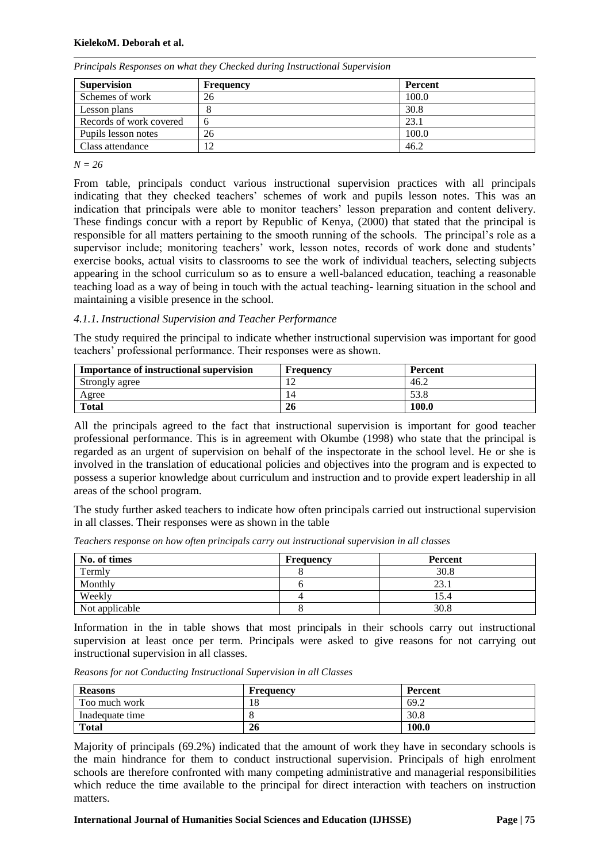#### **KielekoM. Deborah et al.**

| <b>Supervision</b>      | Frequency | Percent |
|-------------------------|-----------|---------|
| Schemes of work         | 26        | 100.0   |
| Lesson plans            |           | 30.8    |
| Records of work covered |           | 23.1    |
| Pupils lesson notes     | 26        | 100.0   |
| Class attendance        | 12        | 46.2    |

*Principals Responses on what they Checked during Instructional Supervision*

*N = 26*

From table, principals conduct various instructional supervision practices with all principals indicating that they checked teachers' schemes of work and pupils lesson notes. This was an indication that principals were able to monitor teachers' lesson preparation and content delivery. These findings concur with a report by Republic of Kenya, (2000) that stated that the principal is responsible for all matters pertaining to the smooth running of the schools. The principal"s role as a supervisor include; monitoring teachers' work, lesson notes, records of work done and students' exercise books, actual visits to classrooms to see the work of individual teachers, selecting subjects appearing in the school curriculum so as to ensure a well-balanced education, teaching a reasonable teaching load as a way of being in touch with the actual teaching- learning situation in the school and maintaining a visible presence in the school.

# *4.1.1. Instructional Supervision and Teacher Performance*

The study required the principal to indicate whether instructional supervision was important for good teachers" professional performance. Their responses were as shown.

| <b>Importance of instructional supervision</b> | Frequency | Percent      |
|------------------------------------------------|-----------|--------------|
| Strongly agree                                 | . .       | 46.2         |
| Agree                                          |           | 50 C<br>33.C |
| <b>Total</b>                                   | 26        | 100.0        |

All the principals agreed to the fact that instructional supervision is important for good teacher professional performance. This is in agreement with Okumbe (1998) who state that the principal is regarded as an urgent of supervision on behalf of the inspectorate in the school level. He or she is involved in the translation of educational policies and objectives into the program and is expected to possess a superior knowledge about curriculum and instruction and to provide expert leadership in all areas of the school program.

The study further asked teachers to indicate how often principals carried out instructional supervision in all classes. Their responses were as shown in the table

*Teachers response on how often principals carry out instructional supervision in all classes*

| No. of times   | <b>Frequency</b> | <b>Percent</b>        |
|----------------|------------------|-----------------------|
| Termly         |                  | 30.8                  |
| Monthly        |                  | $2^{\circ}$<br>ا. د ب |
| Weekly         |                  | .5.4                  |
| Not applicable |                  | 30.8                  |

Information in the in table shows that most principals in their schools carry out instructional supervision at least once per term. Principals were asked to give reasons for not carrying out instructional supervision in all classes.

*Reasons for not Conducting Instructional Supervision in all Classes*

| <b>Reasons</b>  | Frequency | Percent |
|-----------------|-----------|---------|
| Too much work   | 18        | 69.2    |
| Inadequate time |           | 30.8    |
| <b>Total</b>    | 26        | 100.0   |

Majority of principals (69.2%) indicated that the amount of work they have in secondary schools is the main hindrance for them to conduct instructional supervision. Principals of high enrolment schools are therefore confronted with many competing administrative and managerial responsibilities which reduce the time available to the principal for direct interaction with teachers on instruction matters.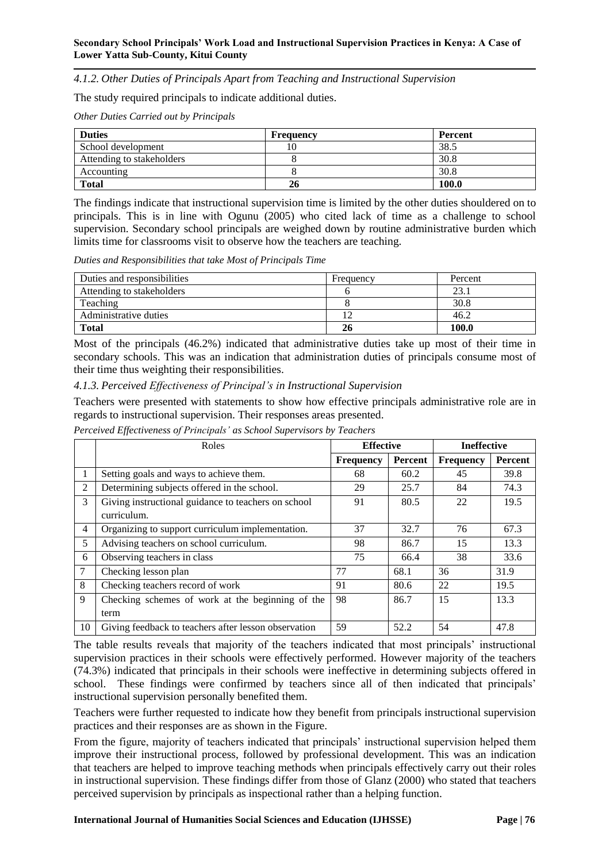*4.1.2. Other Duties of Principals Apart from Teaching and Instructional Supervision*

The study required principals to indicate additional duties.

*Other Duties Carried out by Principals* 

| <b>Duties</b>             | <b>Frequency</b> | Percent |
|---------------------------|------------------|---------|
| School development        |                  | 38.5    |
| Attending to stakeholders |                  | 30.8    |
| Accounting                |                  | 30.8    |
| <b>Total</b>              | 26               | 100.0   |

The findings indicate that instructional supervision time is limited by the other duties shouldered on to principals. This is in line with Ogunu (2005) who cited lack of time as a challenge to school supervision. Secondary school principals are weighed down by routine administrative burden which limits time for classrooms visit to observe how the teachers are teaching.

*Duties and Responsibilities that take Most of Principals Time*

| Duties and responsibilities | Frequency | Percent |
|-----------------------------|-----------|---------|
| Attending to stakeholders   |           | 23.1    |
| Teaching                    |           | 30.8    |
| Administrative duties       |           | 46.2    |
| <b>Total</b>                | 26        | 100.0   |

Most of the principals (46.2%) indicated that administrative duties take up most of their time in secondary schools. This was an indication that administration duties of principals consume most of their time thus weighting their responsibilities.

*4.1.3. Perceived Effectiveness of Principal's in Instructional Supervision*

Teachers were presented with statements to show how effective principals administrative role are in regards to instructional supervision. Their responses areas presented.

|    | Roles                                                | <b>Effective</b> |         | <b>Ineffective</b> |         |
|----|------------------------------------------------------|------------------|---------|--------------------|---------|
|    |                                                      | <b>Frequency</b> | Percent | Frequency          | Percent |
|    | Setting goals and ways to achieve them.              | 68               | 60.2    | 45                 | 39.8    |
| 2  | Determining subjects offered in the school.          | 29               | 25.7    | 84                 | 74.3    |
| 3  | Giving instructional guidance to teachers on school  | 91               | 80.5    | 22                 | 19.5    |
|    | curriculum.                                          |                  |         |                    |         |
| 4  | Organizing to support curriculum implementation.     | 37               | 32.7    | 76                 | 67.3    |
| 5  | Advising teachers on school curriculum.              | 98               | 86.7    | 15                 | 13.3    |
| 6  | Observing teachers in class                          | 75               | 66.4    | 38                 | 33.6    |
| 7  | Checking lesson plan                                 | 77               | 68.1    | 36                 | 31.9    |
| 8  | Checking teachers record of work                     | 91               | 80.6    | 22                 | 19.5    |
| 9  | Checking schemes of work at the beginning of the     | 98               | 86.7    | 15                 | 13.3    |
|    | term                                                 |                  |         |                    |         |
| 10 | Giving feedback to teachers after lesson observation | 59               | 52.2    | 54                 | 47.8    |

*Perceived Effectiveness of Principals' as School Supervisors by Teachers*

The table results reveals that majority of the teachers indicated that most principals" instructional supervision practices in their schools were effectively performed. However majority of the teachers (74.3%) indicated that principals in their schools were ineffective in determining subjects offered in school. These findings were confirmed by teachers since all of then indicated that principals' instructional supervision personally benefited them.

Teachers were further requested to indicate how they benefit from principals instructional supervision practices and their responses are as shown in the Figure.

From the figure, majority of teachers indicated that principals' instructional supervision helped them improve their instructional process, followed by professional development. This was an indication that teachers are helped to improve teaching methods when principals effectively carry out their roles in instructional supervision. These findings differ from those of Glanz (2000) who stated that teachers perceived supervision by principals as inspectional rather than a helping function.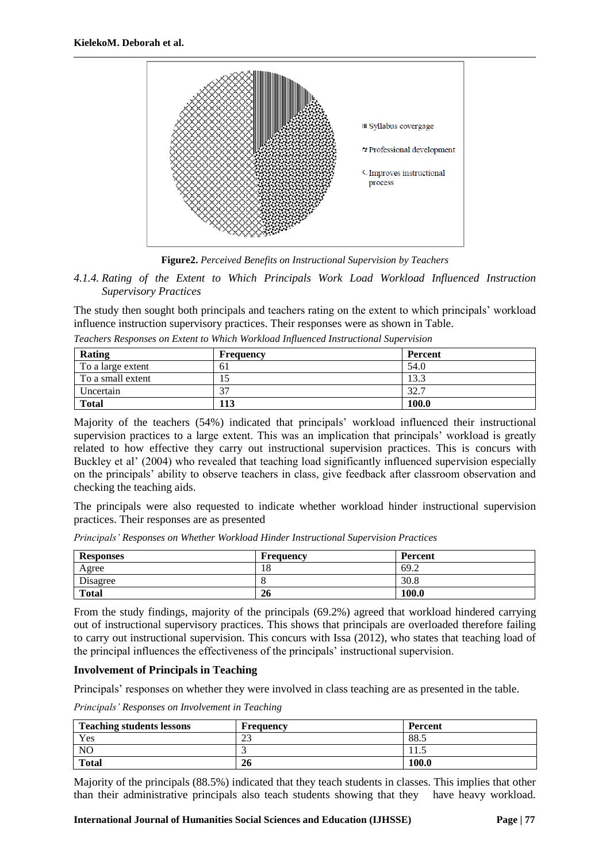

**Figure2.** *Perceived Benefits on Instructional Supervision by Teachers*

*4.1.4. Rating of the Extent to Which Principals Work Load Workload Influenced Instruction Supervisory Practices*

The study then sought both principals and teachers rating on the extent to which principals" workload influence instruction supervisory practices. Their responses were as shown in Table.

| Templete the police of Enterit to Thinest Hollington Influence There including the population<br>Rating<br>Percent<br>Frequency |                |                            |  |  |
|---------------------------------------------------------------------------------------------------------------------------------|----------------|----------------------------|--|--|
| To a large extent                                                                                                               | 0 <sub>1</sub> | 54.0                       |  |  |
| To a small extent                                                                                                               | ⊥ J            | 13.3                       |  |  |
| Uncertain                                                                                                                       |                | $\mathfrak{D} \cap$<br>34. |  |  |

*Teachers Responses on Extent to Which Workload Influenced Instructional Supervision*

**Total 113 100.0**

Majority of the teachers (54%) indicated that principals" workload influenced their instructional supervision practices to a large extent. This was an implication that principals' workload is greatly related to how effective they carry out instructional supervision practices. This is concurs with Buckley et al' (2004) who revealed that teaching load significantly influenced supervision especially on the principals" ability to observe teachers in class, give feedback after classroom observation and checking the teaching aids.

The principals were also requested to indicate whether workload hinder instructional supervision practices. Their responses are as presented

|  |  | Principals' Responses on Whether Workload Hinder Instructional Supervision Practices |  |
|--|--|--------------------------------------------------------------------------------------|--|
|  |  |                                                                                      |  |

| <b>Responses</b> | Frequency | Percent |
|------------------|-----------|---------|
| Agree            | 18        | 69.2    |
| Disagree         |           | 30.8    |
| <b>Total</b>     | 26        | 100.0   |

From the study findings, majority of the principals (69.2%) agreed that workload hindered carrying out of instructional supervisory practices. This shows that principals are overloaded therefore failing to carry out instructional supervision. This concurs with Issa (2012), who states that teaching load of the principal influences the effectiveness of the principals" instructional supervision.

# **Involvement of Principals in Teaching**

Principals" responses on whether they were involved in class teaching are as presented in the table.

*Principals' Responses on Involvement in Teaching*

| <b>Teaching students lessons</b> | <b>Frequency</b> | Percent |
|----------------------------------|------------------|---------|
| Yes                              | ΩΩ<br>ں کے       | 88.5    |
| N <sub>O</sub>                   |                  | .       |
| <b>Total</b>                     | 26               | 100.0   |

Majority of the principals (88.5%) indicated that they teach students in classes. This implies that other than their administrative principals also teach students showing that they have heavy workload.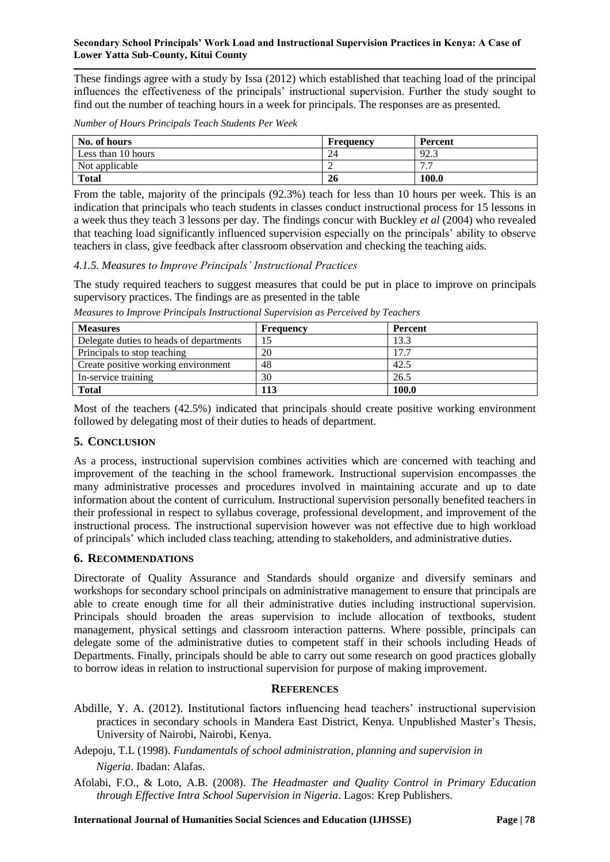These findings agree with a study by Issa (2012) which established that teaching load of the principal influences the effectiveness of the principals" instructional supervision. Further the study sought to find out the number of teaching hours in a week for principals. The responses are as presented.

*Number of Hours Principals Teach Students Per Week*

| No. of hours       | Frequency | Percent                       |
|--------------------|-----------|-------------------------------|
| Less than 10 hours | 24        | 92.3                          |
| Not applicable     | ∼         | $\overline{\phantom{a}}$<br>. |
| <b>Total</b>       | 26        | 100.0                         |

From the table, majority of the principals (92.3%) teach for less than 10 hours per week. This is an indication that principals who teach students in classes conduct instructional process for 15 lessons in a week thus they teach 3 lessons per day. The findings concur with Buckley *et al* (2004) who revealed that teaching load significantly influenced supervision especially on the principals" ability to observe teachers in class, give feedback after classroom observation and checking the teaching aids.

# *4.1.5. Measures to Improve Principals' Instructional Practices*

The study required teachers to suggest measures that could be put in place to improve on principals supervisory practices. The findings are as presented in the table

| <b>Measures</b>                         | <b>Frequency</b> | <b>Percent</b> |
|-----------------------------------------|------------------|----------------|
| Delegate duties to heads of departments |                  | 13.3           |
| Principals to stop teaching             | 20               | 17.7           |
| Create positive working environment     | 48               | 42.5           |
| In-service training                     | 30               | 26.5           |
| <b>Total</b>                            | 113              | 100.0          |

*Measures to Improve Principals Instructional Supervision as Perceived by Teachers*

Most of the teachers (42.5%) indicated that principals should create positive working environment followed by delegating most of their duties to heads of department.

# **5. CONCLUSION**

As a process, instructional supervision combines activities which are concerned with teaching and improvement of the teaching in the school framework. Instructional supervision encompasses the many administrative processes and procedures involved in maintaining accurate and up to date information about the content of curriculum. Instructional supervision personally benefited teachers in their professional in respect to syllabus coverage, professional development, and improvement of the instructional process. The instructional supervision however was not effective due to high workload of principals" which included class teaching, attending to stakeholders, and administrative duties.

# **6. RECOMMENDATIONS**

Directorate of Quality Assurance and Standards should organize and diversify seminars and workshops for secondary school principals on administrative management to ensure that principals are able to create enough time for all their administrative duties including instructional supervision. Principals should broaden the areas supervision to include allocation of textbooks, student management, physical settings and classroom interaction patterns. Where possible, principals can delegate some of the administrative duties to competent staff in their schools including Heads of Departments. Finally, principals should be able to carry out some research on good practices globally to borrow ideas in relation to instructional supervision for purpose of making improvement.

# **REFERENCES**

Abdille, Y. A. (2012). Institutional factors influencing head teachers' instructional supervision practices in secondary schools in Mandera East District, Kenya*.* Unpublished Master"s Thesis, University of Nairobi, Nairobi, Kenya.

Adepoju, T.L (1998). *Fundamentals of school administration, planning and supervision in Nigeria*. Ibadan: Alafas.

Afolabi, F.O., & Loto, A.B. (2008). *The Headmaster and Quality Control in Primary Education through Effective Intra School Supervision in Nigeria*. Lagos: Krep Publishers.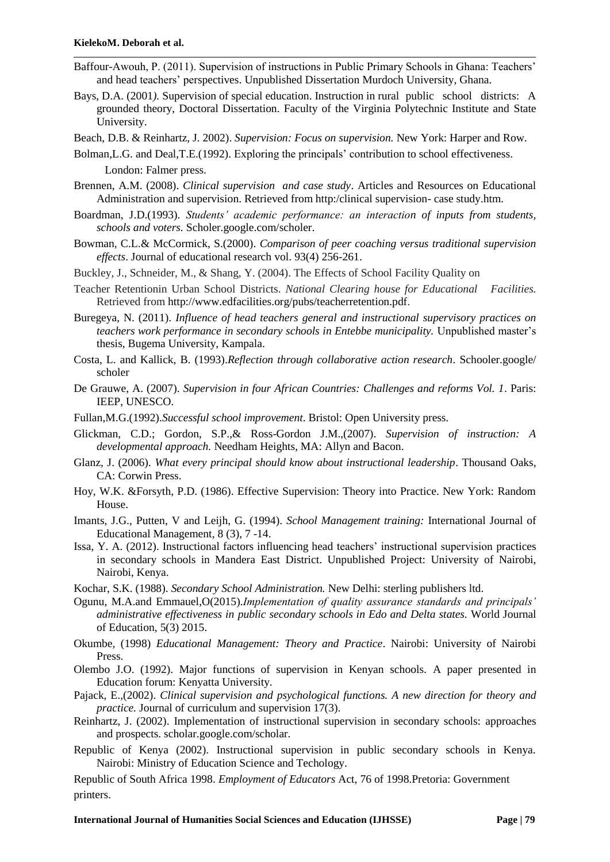- Baffour-Awouh, P. (2011). Supervision of instructions in Public Primary Schools in Ghana: Teachers' and head teachers" perspectives. Unpublished Dissertation Murdoch University, Ghana.
- Bays, D.A. (2001*).* Supervision of special education. Instruction in rural public school districts: A grounded theory*,* Doctoral Dissertation. Faculty of the Virginia Polytechnic Institute and State University.
- Beach, D.B. & Reinhartz, J. 2002). *Supervision: Focus on supervision.* New York: Harper and Row.

Bolman,L.G. and Deal,T.E.(1992). Exploring the principals" contribution to school effectiveness. London: Falmer press.

- Brennen, A.M. (2008). *Clinical supervision and case study*. Articles and Resources on Educational Administration and supervision. Retrieved from http:/clinical supervision- case study.htm.
- Boardman, J.D.(1993). *Students' academic performance: an interaction of inputs from students, schools and voters.* Scholer.google.com/scholer.
- Bowman, C.L.& McCormick, S.(2000). *Comparison of peer coaching versus traditional supervision effects*. Journal of educational research vol. 93(4) 256-261.
- Buckley, J., Schneider, M., & Shang, Y. (2004). The Effects of School Facility Quality on
- Teacher Retentionin Urban School Districts. *National Clearing house for Educational Facilities.*  Retrieved from http://www.edfacilities.org/pubs/teacherretention.pdf.
- Buregeya, N. (2011). *Influence of head teachers general and instructional supervisory practices on teachers work performance in secondary schools in Entebbe municipality.* Unpublished master"s thesis, Bugema University, Kampala.
- Costa, L. and Kallick, B. (1993).*Reflection through collaborative action research*. Schooler.google/ scholer
- De Grauwe, A. (2007). *Supervision in four African Countries: Challenges and reforms Vol. 1*. Paris: IEEP, UNESCO.
- Fullan,M.G.(1992).*Successful school improvement*. Bristol: Open University press.
- Glickman, C.D.; Gordon, S.P.,& Ross-Gordon J.M.,(2007). *Supervision of instruction: A developmental approach.* Needham Heights, MA: Allyn and Bacon.
- Glanz, J. (2006). *What every principal should know about instructional leadership*. Thousand Oaks, CA: Corwin Press.
- Hoy, W.K. &Forsyth, P.D. (1986). Effective Supervision: Theory into Practice. New York: Random House.
- Imants, J.G., Putten, V and Leijh, G. (1994). *School Management training:* International Journal of Educational Management, 8 (3), 7 -14.
- Issa, Y. A. (2012). Instructional factors influencing head teachers' instructional supervision practices in secondary schools in Mandera East District. Unpublished Project: University of Nairobi, Nairobi, Kenya.
- Kochar, S.K. (1988). *Secondary School Administration.* New Delhi: sterling publishers ltd.
- Ogunu, M.A.and Emmauel,O(2015).*Implementation of quality assurance standards and principals' administrative effectiveness in public secondary schools in Edo and Delta states.* World Journal of Education, 5(3) 2015.
- Okumbe, (1998) *Educational Management: Theory and Practice*. Nairobi: University of Nairobi Press.
- Olembo J.O. (1992). Major functions of supervision in Kenyan schools. A paper presented in Education forum: Kenyatta University.
- Pajack, E.,(2002). *Clinical supervision and psychological functions. A new direction for theory and practice.* Journal of curriculum and supervision 17(3).
- Reinhartz, J. (2002). Implementation of instructional supervision in secondary schools: approaches and prospects. scholar.google.com/scholar.
- Republic of Kenya (2002). Instructional supervision in public secondary schools in Kenya. Nairobi: Ministry of Education Science and Techology.

Republic of South Africa 1998. *Employment of Educators* Act, 76 of 1998.Pretoria: Government printers.